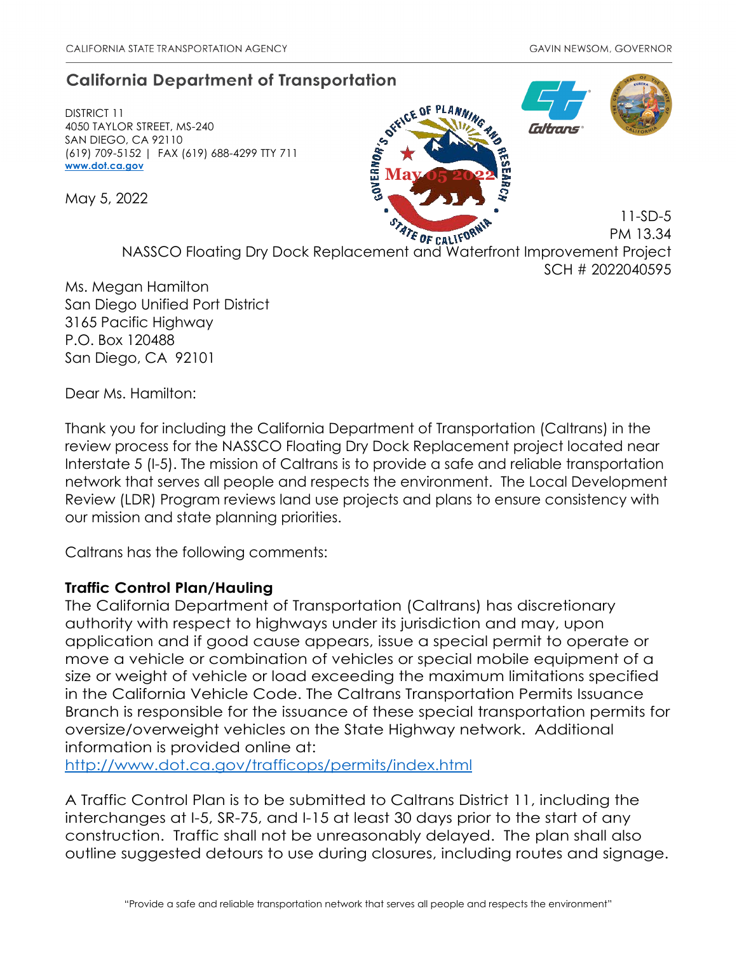## **California Department of Transportation**

DISTRICT 11 4050 TAYLOR STREET, MS-240 SAN DIEGO, CA 92110 (619) 709-5152 | FAX (619) 688-4299 TTY 711 **www.dot.ca.gov** 

May 5, 2022



11-SD-5 PM 13.34

E OF CALIFON NASSCO Floating Dry Dock Replacement and Waterfront Improvement Project SCH # 2022040595

Ms. Megan Hamilton San Diego Unified Port District 3165 Pacific Highway P.O. Box 120488 San Diego, CA 92101

Dear Ms. Hamilton:

Thank you for including the California Department of Transportation (Caltrans) in the review process for the NASSCO Floating Dry Dock Replacement project located near Interstate 5 (I-5). The mission of Caltrans is to provide a safe and reliable transportation network that serves all people and respects the environment. The Local Development Review (LDR) Program reviews land use projects and plans to ensure consistency with our mission and state planning priorities.

Caltrans has the following comments:

## **Traffic Control Plan/Hauling**

The California Department of Transportation (Caltrans) has discretionary authority with respect to highways under its jurisdiction and may, upon application and if good cause appears, issue a special permit to operate or move a vehicle or combination of vehicles or special mobile equipment of a size or weight of vehicle or load exceeding the maximum limitations specified in the California Vehicle Code. The Caltrans Transportation Permits Issuance Branch is responsible for the issuance of these special transportation permits for oversize/overweight vehicles on the State Highway network. Additional information is provided online at:

http://www.dot.ca.gov/trafficops/permits/index.html

A Traffic Control Plan is to be submitted to Caltrans District 11, including the interchanges at I-5, SR-75, and I-15 at least 30 days prior to the start of any construction. Traffic shall not be unreasonably delayed. The plan shall also outline suggested detours to use during closures, including routes and signage.